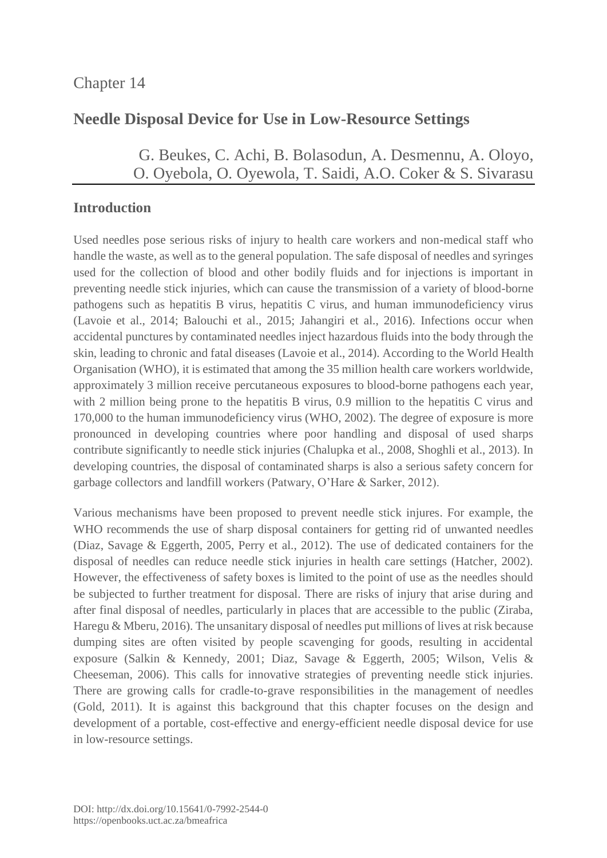# **Needle Disposal Device for Use in Low-Resource Settings**

G. [Beukes,](https://orcid.org/0000-0003-0708-9872) C. [Achi,](https://orcid.org/0000-0002-9723-182X) B. [Bolasodun,](http://orcid.org/0000-0002-2720-5933) [A. Desmennu,](https://orcid.org/0000-0003-1667-7422) A. [Oloyo,](https://orcid.org/0000-0003-3442-375X) O. [Oyebola,](https://orcid.org/0000-0002-7077-8964) O. Oyewola, T. [Saidi,](https://orcid.org/0000-0002-9337-4268) A.O. [Coker](https://orcid.org/0000-0002-2065-7179) & S. [Sivarasu](https://orcid.org/0000-0002-0812-568X)

## **Introduction**

Used needles pose serious risks of injury to health care workers and non-medical staff who handle the waste, as well as to the general population. The safe disposal of needles and syringes used for the collection of blood and other bodily fluids and for injections is important in preventing needle stick injuries, which can cause the transmission of a variety of blood-borne pathogens such as hepatitis B virus, hepatitis C virus, and human immunodeficiency virus (Lavoie et al., 2014; Balouchi et al., 2015; Jahangiri et al., 2016). Infections occur when accidental punctures by contaminated needles inject hazardous fluids into the body through the skin, leading to chronic and fatal diseases (Lavoie et al., 2014). According to the World Health Organisation (WHO), it is estimated that among the 35 million health care workers worldwide, approximately 3 million receive percutaneous exposures to blood-borne pathogens each year, with 2 million being prone to the hepatitis B virus, 0.9 million to the hepatitis C virus and 170,000 to the human immunodeficiency virus (WHO, 2002). The degree of exposure is more pronounced in developing countries where poor handling and disposal of used sharps contribute significantly to needle stick injuries (Chalupka et al., 2008, Shoghli et al., 2013). In developing countries, the disposal of contaminated sharps is also a serious safety concern for garbage collectors and landfill workers (Patwary, O'Hare & Sarker, 2012).

Various mechanisms have been proposed to prevent needle stick injures. For example, the WHO recommends the use of sharp disposal containers for getting rid of unwanted needles (Diaz, Savage & Eggerth, 2005, Perry et al., 2012). The use of dedicated containers for the disposal of needles can reduce needle stick injuries in health care settings (Hatcher, 2002). However, the effectiveness of safety boxes is limited to the point of use as the needles should be subjected to further treatment for disposal. There are risks of injury that arise during and after final disposal of needles, particularly in places that are accessible to the public (Ziraba, Haregu & Mberu, 2016). The unsanitary disposal of needles put millions of lives at risk because dumping sites are often visited by people scavenging for goods, resulting in accidental exposure (Salkin & Kennedy, 2001; Diaz, Savage & Eggerth, 2005; Wilson, Velis & Cheeseman, 2006). This calls for innovative strategies of preventing needle stick injuries. There are growing calls for cradle-to-grave responsibilities in the management of needles (Gold, 2011). It is against this background that this chapter focuses on the design and development of a portable, cost-effective and energy-efficient needle disposal device for use in low-resource settings.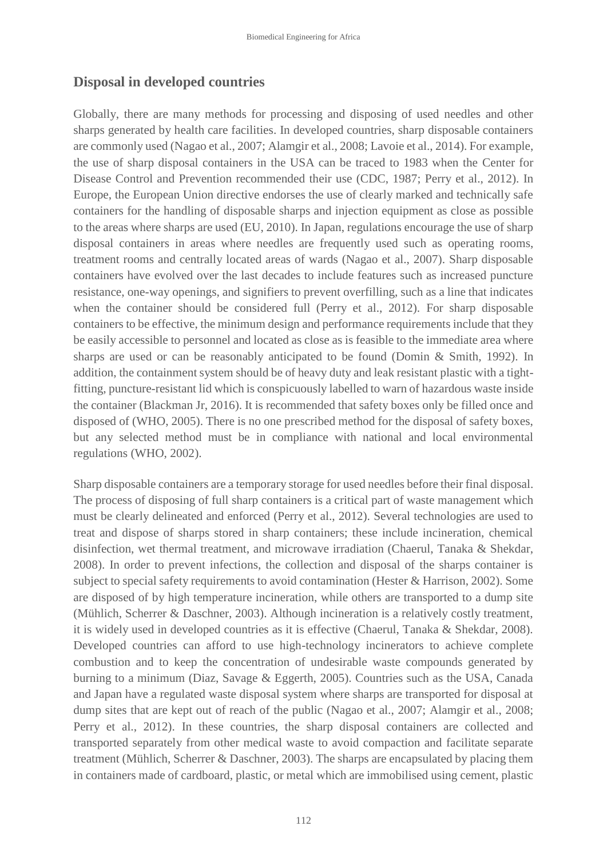#### **Disposal in developed countries**

Globally, there are many methods for processing and disposing of used needles and other sharps generated by health care facilities. In developed countries, sharp disposable containers are commonly used (Nagao et al., 2007; Alamgir et al., 2008; Lavoie et al., 2014). For example, the use of sharp disposal containers in the USA can be traced to 1983 when the Center for Disease Control and Prevention recommended their use (CDC, 1987; Perry et al., 2012). In Europe, the European Union directive endorses the use of clearly marked and technically safe containers for the handling of disposable sharps and injection equipment as close as possible to the areas where sharps are used (EU, 2010). In Japan, regulations encourage the use of sharp disposal containers in areas where needles are frequently used such as operating rooms, treatment rooms and centrally located areas of wards (Nagao et al., 2007). Sharp disposable containers have evolved over the last decades to include features such as increased puncture resistance, one-way openings, and signifiers to prevent overfilling, such as a line that indicates when the container should be considered full (Perry et al., 2012). For sharp disposable containers to be effective, the minimum design and performance requirements include that they be easily accessible to personnel and located as close as is feasible to the immediate area where sharps are used or can be reasonably anticipated to be found (Domin & Smith, 1992). In addition, the containment system should be of heavy duty and leak resistant plastic with a tightfitting, puncture-resistant lid which is conspicuously labelled to warn of hazardous waste inside the container (Blackman Jr, 2016). It is recommended that safety boxes only be filled once and disposed of (WHO, 2005). There is no one prescribed method for the disposal of safety boxes, but any selected method must be in compliance with national and local environmental regulations (WHO, 2002).

Sharp disposable containers are a temporary storage for used needles before their final disposal. The process of disposing of full sharp containers is a critical part of waste management which must be clearly delineated and enforced (Perry et al., 2012). Several technologies are used to treat and dispose of sharps stored in sharp containers; these include incineration, chemical disinfection, wet thermal treatment, and microwave irradiation (Chaerul, Tanaka & Shekdar, 2008). In order to prevent infections, the collection and disposal of the sharps container is subject to special safety requirements to avoid contamination (Hester & Harrison, 2002). Some are disposed of by high temperature incineration, while others are transported to a dump site (Mühlich, Scherrer & Daschner, 2003). Although incineration is a relatively costly treatment, it is widely used in developed countries as it is effective (Chaerul, Tanaka & Shekdar, 2008). Developed countries can afford to use high-technology incinerators to achieve complete combustion and to keep the concentration of undesirable waste compounds generated by burning to a minimum (Diaz, Savage & Eggerth, 2005). Countries such as the USA, Canada and Japan have a regulated waste disposal system where sharps are transported for disposal at dump sites that are kept out of reach of the public (Nagao et al., 2007; Alamgir et al., 2008; Perry et al., 2012). In these countries, the sharp disposal containers are collected and transported separately from other medical waste to avoid compaction and facilitate separate treatment (Mühlich, Scherrer & Daschner, 2003). The sharps are encapsulated by placing them in containers made of cardboard, plastic, or metal which are immobilised using cement, plastic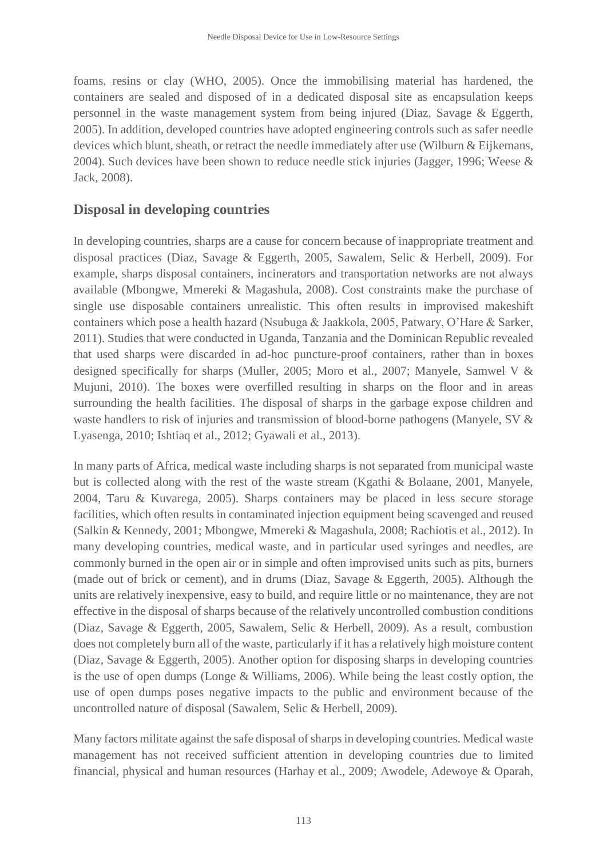foams, resins or clay (WHO, 2005). Once the immobilising material has hardened, the containers are sealed and disposed of in a dedicated disposal site as encapsulation keeps personnel in the waste management system from being injured (Diaz, Savage & Eggerth, 2005). In addition, developed countries have adopted engineering controls such as safer needle devices which blunt, sheath, or retract the needle immediately after use (Wilburn & Eijkemans, 2004). Such devices have been shown to reduce needle stick injuries (Jagger, 1996; Weese & Jack, 2008).

#### **Disposal in developing countries**

In developing countries, sharps are a cause for concern because of inappropriate treatment and disposal practices (Diaz, Savage & Eggerth, 2005, Sawalem, Selic & Herbell, 2009). For example, sharps disposal containers, incinerators and transportation networks are not always available (Mbongwe, Mmereki & Magashula, 2008). Cost constraints make the purchase of single use disposable containers unrealistic. This often results in improvised makeshift containers which pose a health hazard (Nsubuga & Jaakkola, 2005, Patwary, O'Hare & Sarker, 2011). Studies that were conducted in Uganda, Tanzania and the Dominican Republic revealed that used sharps were discarded in ad-hoc puncture-proof containers, rather than in boxes designed specifically for sharps (Muller, 2005; Moro et al., 2007; Manyele, Samwel V & Mujuni, 2010). The boxes were overfilled resulting in sharps on the floor and in areas surrounding the health facilities. The disposal of sharps in the garbage expose children and waste handlers to risk of injuries and transmission of blood-borne pathogens (Manyele, SV & Lyasenga, 2010; Ishtiaq et al., 2012; Gyawali et al., 2013).

In many parts of Africa, medical waste including sharps is not separated from municipal waste but is collected along with the rest of the waste stream (Kgathi & Bolaane, 2001, Manyele, 2004, Taru & Kuvarega, 2005). Sharps containers may be placed in less secure storage facilities, which often results in contaminated injection equipment being scavenged and reused (Salkin & Kennedy, 2001; Mbongwe, Mmereki & Magashula, 2008; Rachiotis et al., 2012). In many developing countries, medical waste, and in particular used syringes and needles, are commonly burned in the open air or in simple and often improvised units such as pits, burners (made out of brick or cement), and in drums (Diaz, Savage & Eggerth, 2005). Although the units are relatively inexpensive, easy to build, and require little or no maintenance, they are not effective in the disposal of sharps because of the relatively uncontrolled combustion conditions (Diaz, Savage & Eggerth, 2005, Sawalem, Selic & Herbell, 2009). As a result, combustion does not completely burn all of the waste, particularly if it has a relatively high moisture content (Diaz, Savage & Eggerth, 2005). Another option for disposing sharps in developing countries is the use of open dumps (Longe & Williams, 2006). While being the least costly option, the use of open dumps poses negative impacts to the public and environment because of the uncontrolled nature of disposal (Sawalem, Selic & Herbell, 2009).

Many factors militate against the safe disposal of sharps in developing countries. Medical waste management has not received sufficient attention in developing countries due to limited financial, physical and human resources (Harhay et al., 2009; Awodele, Adewoye & Oparah,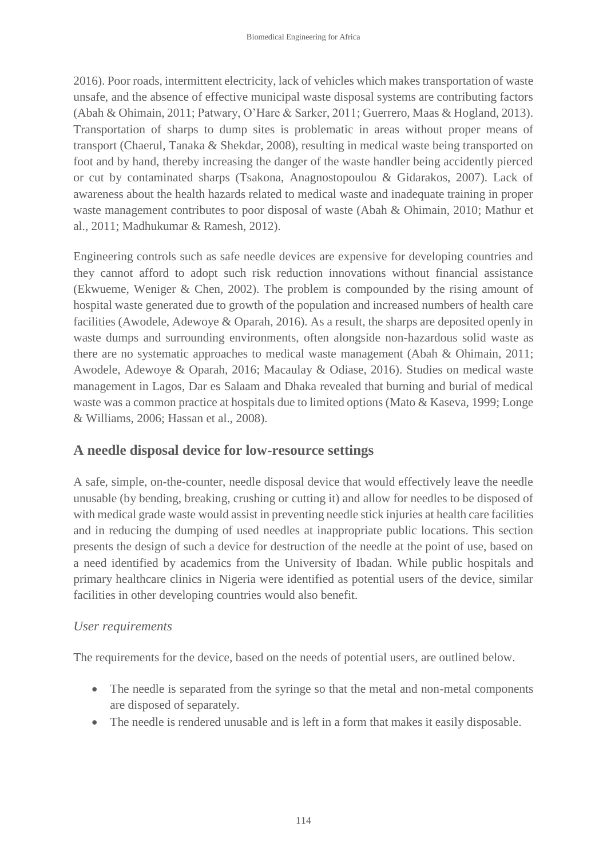2016). Poor roads, intermittent electricity, lack of vehicles which makes transportation of waste unsafe, and the absence of effective municipal waste disposal systems are contributing factors (Abah & Ohimain, 2011; Patwary, O'Hare & Sarker, 2011; Guerrero, Maas & Hogland, 2013). Transportation of sharps to dump sites is problematic in areas without proper means of transport (Chaerul, Tanaka & Shekdar, 2008), resulting in medical waste being transported on foot and by hand, thereby increasing the danger of the waste handler being accidently pierced or cut by contaminated sharps (Tsakona, Anagnostopoulou & Gidarakos, 2007). Lack of awareness about the health hazards related to medical waste and inadequate training in proper waste management contributes to poor disposal of waste (Abah & Ohimain, 2010; Mathur et al., 2011; Madhukumar & Ramesh, 2012).

Engineering controls such as safe needle devices are expensive for developing countries and they cannot afford to adopt such risk reduction innovations without financial assistance (Ekwueme, Weniger & Chen, 2002). The problem is compounded by the rising amount of hospital waste generated due to growth of the population and increased numbers of health care facilities (Awodele, Adewoye & Oparah, 2016). As a result, the sharps are deposited openly in waste dumps and surrounding environments, often alongside non-hazardous solid waste as there are no systematic approaches to medical waste management (Abah & Ohimain, 2011; Awodele, Adewoye & Oparah, 2016; Macaulay & Odiase, 2016). Studies on medical waste management in Lagos, Dar es Salaam and Dhaka revealed that burning and burial of medical waste was a common practice at hospitals due to limited options (Mato & Kaseva, 1999; Longe & Williams, 2006; Hassan et al., 2008).

### **A needle disposal device for low-resource settings**

A safe, simple, on-the-counter, needle disposal device that would effectively leave the needle unusable (by bending, breaking, crushing or cutting it) and allow for needles to be disposed of with medical grade waste would assist in preventing needle stick injuries at health care facilities and in reducing the dumping of used needles at inappropriate public locations. This section presents the design of such a device for destruction of the needle at the point of use, based on a need identified by academics from the University of Ibadan. While public hospitals and primary healthcare clinics in Nigeria were identified as potential users of the device, similar facilities in other developing countries would also benefit.

#### *User requirements*

The requirements for the device, based on the needs of potential users, are outlined below.

- The needle is separated from the syringe so that the metal and non-metal components are disposed of separately.
- The needle is rendered unusable and is left in a form that makes it easily disposable.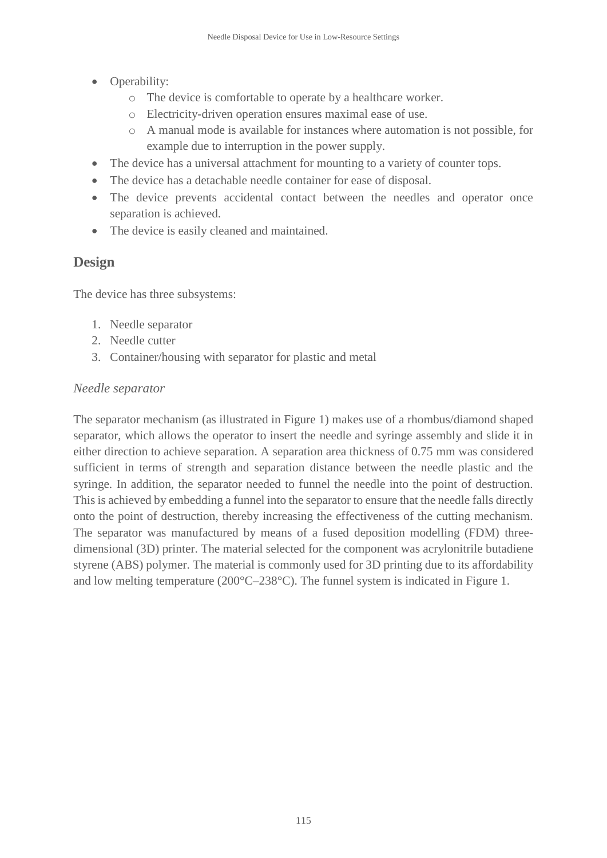- Operability:
	- o The device is comfortable to operate by a healthcare worker.
	- o Electricity-driven operation ensures maximal ease of use.
	- o A manual mode is available for instances where automation is not possible, for example due to interruption in the power supply.
- The device has a universal attachment for mounting to a variety of counter tops.
- The device has a detachable needle container for ease of disposal.
- The device prevents accidental contact between the needles and operator once separation is achieved.
- The device is easily cleaned and maintained.

# **Design**

The device has three subsystems:

- 1. Needle separator
- 2. Needle cutter
- 3. Container/housing with separator for plastic and metal

### *Needle separator*

The separator mechanism (as illustrated in Figure 1) makes use of a rhombus/diamond shaped separator, which allows the operator to insert the needle and syringe assembly and slide it in either direction to achieve separation. A separation area thickness of 0.75 mm was considered sufficient in terms of strength and separation distance between the needle plastic and the syringe. In addition, the separator needed to funnel the needle into the point of destruction. This is achieved by embedding a funnel into the separator to ensure that the needle falls directly onto the point of destruction, thereby increasing the effectiveness of the cutting mechanism. The separator was manufactured by means of a fused deposition modelling (FDM) threedimensional (3D) printer. The material selected for the component was acrylonitrile butadiene styrene (ABS) polymer. The material is commonly used for 3D printing due to its affordability and low melting temperature (200°C–238°C). The funnel system is indicated in Figure 1.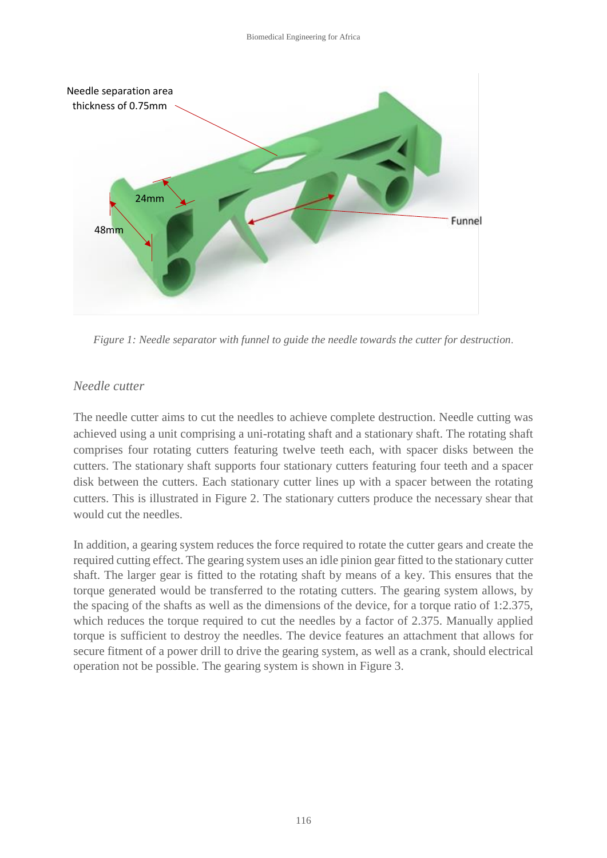

*Figure 1: Needle separator with funnel to guide the needle towards the cutter for destruction*.

#### *Needle cutter*

The needle cutter aims to cut the needles to achieve complete destruction. Needle cutting was achieved using a unit comprising a uni-rotating shaft and a stationary shaft. The rotating shaft comprises four rotating cutters featuring twelve teeth each, with spacer disks between the cutters. The stationary shaft supports four stationary cutters featuring four teeth and a spacer disk between the cutters. Each stationary cutter lines up with a spacer between the rotating cutters. This is illustrated in Figure 2. The stationary cutters produce the necessary shear that would cut the needles.

In addition, a gearing system reduces the force required to rotate the cutter gears and create the required cutting effect. The gearing system uses an idle pinion gear fitted to the stationary cutter shaft. The larger gear is fitted to the rotating shaft by means of a key. This ensures that the torque generated would be transferred to the rotating cutters. The gearing system allows, by the spacing of the shafts as well as the dimensions of the device, for a torque ratio of 1:2.375, which reduces the torque required to cut the needles by a factor of 2.375. Manually applied torque is sufficient to destroy the needles. The device features an attachment that allows for secure fitment of a power drill to drive the gearing system, as well as a crank, should electrical operation not be possible. The gearing system is shown in Figure 3.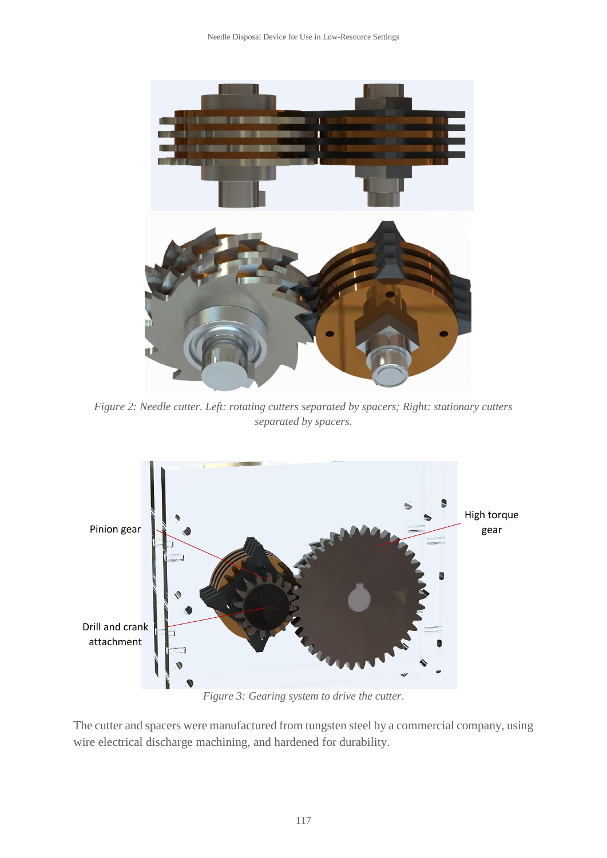Needle Disposal Device for Use in Low-Resource Settings



*Figure 2: Needle cutter. Left: rotating cutters separated by spacers; Right: stationary cutters separated by spacers.*



*Figure 3: Gearing system to drive the cutter.*

The cutter and spacers were manufactured from tungsten steel by a commercial company, using wire electrical discharge machining, and hardened for durability.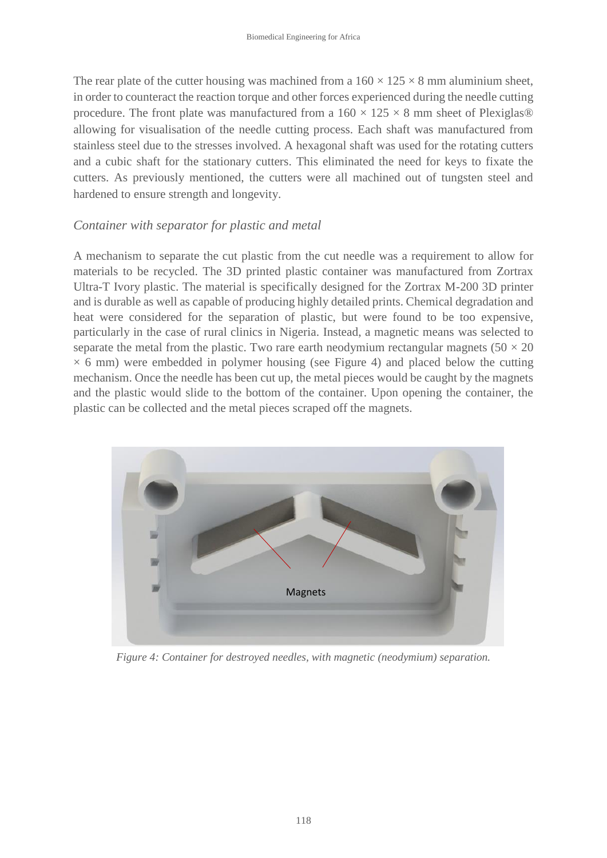The rear plate of the cutter housing was machined from a  $160 \times 125 \times 8$  mm aluminium sheet, in order to counteract the reaction torque and other forces experienced during the needle cutting procedure. The front plate was manufactured from a  $160 \times 125 \times 8$  mm sheet of Plexiglas® allowing for visualisation of the needle cutting process. Each shaft was manufactured from stainless steel due to the stresses involved. A hexagonal shaft was used for the rotating cutters and a cubic shaft for the stationary cutters. This eliminated the need for keys to fixate the cutters. As previously mentioned, the cutters were all machined out of tungsten steel and hardened to ensure strength and longevity.

#### *Container with separator for plastic and metal*

A mechanism to separate the cut plastic from the cut needle was a requirement to allow for materials to be recycled. The 3D printed plastic container was manufactured from Zortrax Ultra-T Ivory plastic. The material is specifically designed for the Zortrax M-200 3D printer and is durable as well as capable of producing highly detailed prints. Chemical degradation and heat were considered for the separation of plastic, but were found to be too expensive, particularly in the case of rural clinics in Nigeria. Instead, a magnetic means was selected to separate the metal from the plastic. Two rare earth neodymium rectangular magnets ( $50 \times 20$ )  $\times$  6 mm) were embedded in polymer housing (see Figure 4) and placed below the cutting mechanism. Once the needle has been cut up, the metal pieces would be caught by the magnets and the plastic would slide to the bottom of the container. Upon opening the container, the plastic can be collected and the metal pieces scraped off the magnets.



*Figure 4: Container for destroyed needles, with magnetic (neodymium) separation.*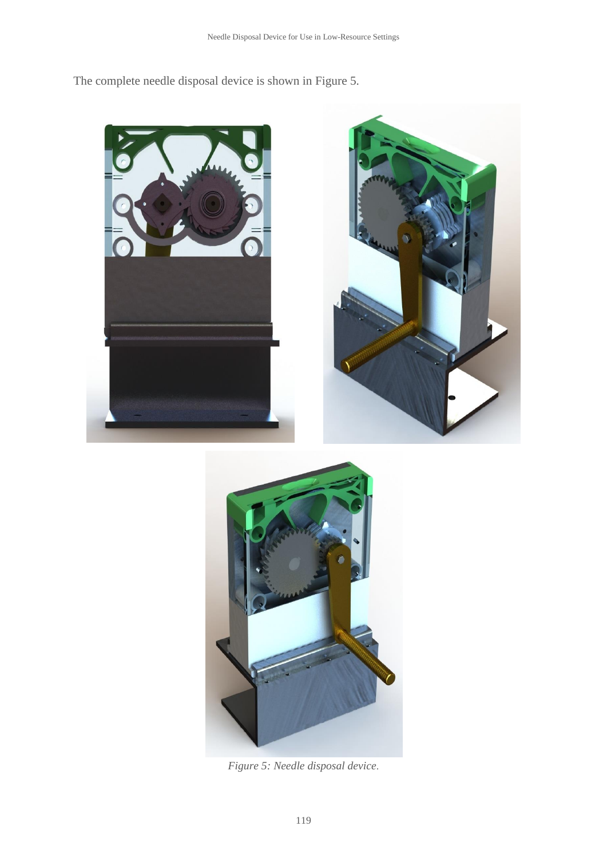The complete needle disposal device is shown in Figure 5.





*Figure 5: Needle disposal device*.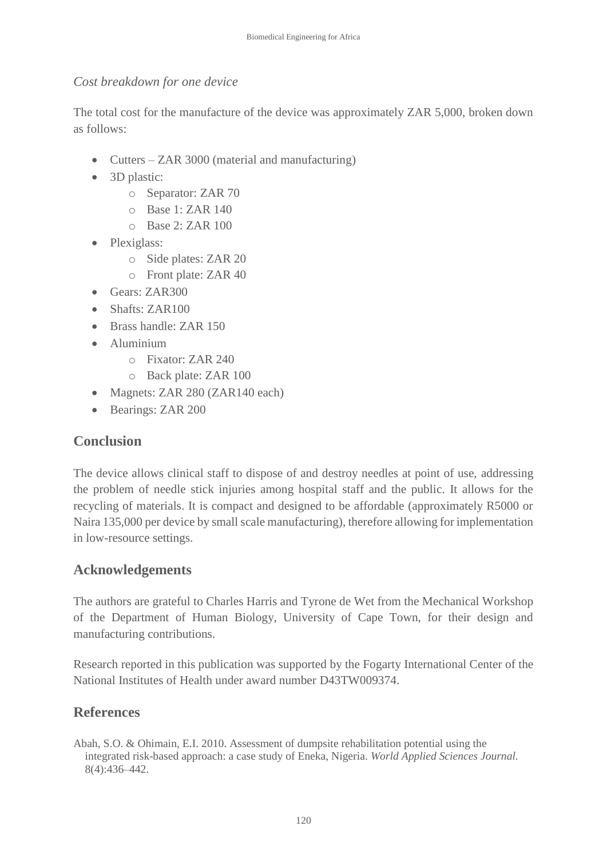#### *Cost breakdown for one device*

The total cost for the manufacture of the device was approximately ZAR 5,000, broken down as follows:

- Cutters ZAR 3000 (material and manufacturing)
- 3D plastic:
	- o Separator: ZAR 70
	- $O$  Base 1: ZAR 140
	- o Base 2: ZAR 100
- Plexiglass:
	- o Side plates: ZAR 20
	- o Front plate: ZAR 40
- Gears: ZAR300
- Shafts: ZAR100
- Brass handle: ZAR 150
- Aluminium
	- o Fixator: ZAR 240
	- o Back plate: ZAR 100
- Magnets: ZAR 280 (ZAR140 each)
- Bearings: ZAR 200

### **Conclusion**

The device allows clinical staff to dispose of and destroy needles at point of use, addressing the problem of needle stick injuries among hospital staff and the public. It allows for the recycling of materials. It is compact and designed to be affordable (approximately R5000 or Naira 135,000 per device by small scale manufacturing), therefore allowing for implementation in low-resource settings.

### **Acknowledgements**

The authors are grateful to Charles Harris and Tyrone de Wet from the Mechanical Workshop of the Department of Human Biology, University of Cape Town, for their design and manufacturing contributions.

Research reported in this publication was supported by the Fogarty International Center of the National Institutes of Health under award number D43TW009374.

### **References**

Abah, S.O. & Ohimain, E.I. 2010. Assessment of dumpsite rehabilitation potential using the integrated risk-based approach: a case study of Eneka, Nigeria. *World Applied Sciences Journal.* 8(4):436–442.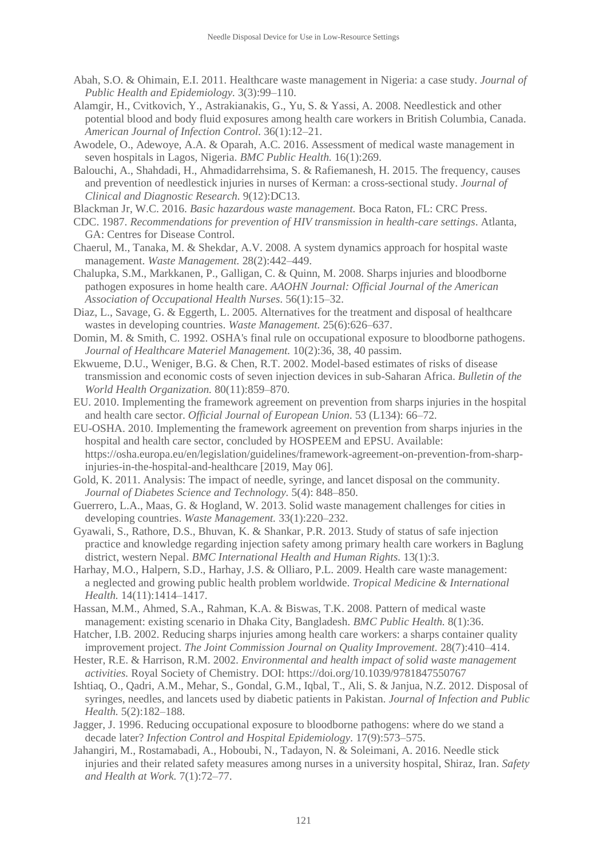- Abah, S.O. & Ohimain, E.I. 2011. Healthcare waste management in Nigeria: a case study. *Journal of Public Health and Epidemiology.* 3(3):99–110.
- Alamgir, H., Cvitkovich, Y., Astrakianakis, G., Yu, S. & Yassi, A. 2008. Needlestick and other potential blood and body fluid exposures among health care workers in British Columbia, Canada. *American Journal of Infection Control.* 36(1):12–21.
- Awodele, O., Adewoye, A.A. & Oparah, A.C. 2016. Assessment of medical waste management in seven hospitals in Lagos, Nigeria. *BMC Public Health.* 16(1):269.
- Balouchi, A., Shahdadi, H., Ahmadidarrehsima, S. & Rafiemanesh, H. 2015. The frequency, causes and prevention of needlestick injuries in nurses of Kerman: a cross-sectional study. *Journal of Clinical and Diagnostic Research.* 9(12):DC13.

Blackman Jr, W.C. 2016. *Basic hazardous waste management.* Boca Raton, FL: CRC Press.

- CDC. 1987. *Recommendations for prevention of HIV transmission in health-care settings*. Atlanta, GA: Centres for Disease Control.
- Chaerul, M., Tanaka, M. & Shekdar, A.V. 2008. A system dynamics approach for hospital waste management. *Waste Management.* 28(2):442–449.
- Chalupka, S.M., Markkanen, P., Galligan, C. & Quinn, M. 2008. Sharps injuries and bloodborne pathogen exposures in home health care. *AAOHN Journal: Official Journal of the American Association of Occupational Health Nurses*. 56(1):15–32.
- Diaz, L., Savage, G. & Eggerth, L. 2005. Alternatives for the treatment and disposal of healthcare wastes in developing countries. *Waste Management.* 25(6):626–637.
- Domin, M. & Smith, C. 1992. OSHA's final rule on occupational exposure to bloodborne pathogens. *Journal of Healthcare Materiel Management.* 10(2):36, 38, 40 passim.
- Ekwueme, D.U., Weniger, B.G. & Chen, R.T. 2002. Model-based estimates of risks of disease transmission and economic costs of seven injection devices in sub-Saharan Africa. *Bulletin of the World Health Organization.* 80(11):859–870.
- EU. 2010. Implementing the framework agreement on prevention from sharps injuries in the hospital and health care sector. *Official Journal of European Union*. 53 (L134): 66–72.
- EU-OSHA. 2010. Implementing the framework agreement on prevention from sharps injuries in the hospital and health care sector, concluded by HOSPEEM and EPSU. Available: https://osha.europa.eu/en/legislation/guidelines/framework-agreement-on-prevention-from-sharpinjuries-in-the-hospital-and-healthcare [2019, May 06].
- Gold, K. 2011. Analysis: The impact of needle, syringe, and lancet disposal on the community*. Journal of Diabetes Science and Technology.* 5(4): 848–850.
- Guerrero, L.A., Maas, G. & Hogland, W. 2013. Solid waste management challenges for cities in developing countries. *Waste Management.* 33(1):220–232.
- Gyawali, S., Rathore, D.S., Bhuvan, K. & Shankar, P.R. 2013. Study of status of safe injection practice and knowledge regarding injection safety among primary health care workers in Baglung district, western Nepal. *BMC International Health and Human Rights.* 13(1):3.
- Harhay, M.O., Halpern, S.D., Harhay, J.S. & Olliaro, P.L. 2009. Health care waste management: a neglected and growing public health problem worldwide. *Tropical Medicine & International Health.* 14(11):1414–1417.
- Hassan, M.M., Ahmed, S.A., Rahman, K.A. & Biswas, T.K. 2008. Pattern of medical waste management: existing scenario in Dhaka City, Bangladesh. *BMC Public Health.* 8(1):36.
- Hatcher, I.B. 2002. Reducing sharps injuries among health care workers: a sharps container quality improvement project. *The Joint Commission Journal on Quality Improvement.* 28(7):410–414.
- Hester, R.E. & Harrison, R.M. 2002. *Environmental and health impact of solid waste management activities.* Royal Society of Chemistry. DOI: https://doi.org/10.1039/9781847550767
- Ishtiaq, O., Qadri, A.M., Mehar, S., Gondal, G.M., Iqbal, T., Ali, S. & Janjua, N.Z. 2012. Disposal of syringes, needles, and lancets used by diabetic patients in Pakistan. *Journal of Infection and Public Health.* 5(2):182–188.
- Jagger, J. 1996. Reducing occupational exposure to bloodborne pathogens: where do we stand a decade later? *Infection Control and Hospital Epidemiology.* 17(9):573–575.
- Jahangiri, M., Rostamabadi, A., Hoboubi, N., Tadayon, N. & Soleimani, A. 2016. Needle stick injuries and their related safety measures among nurses in a university hospital, Shiraz, Iran. *Safety and Health at Work.* 7(1):72–77.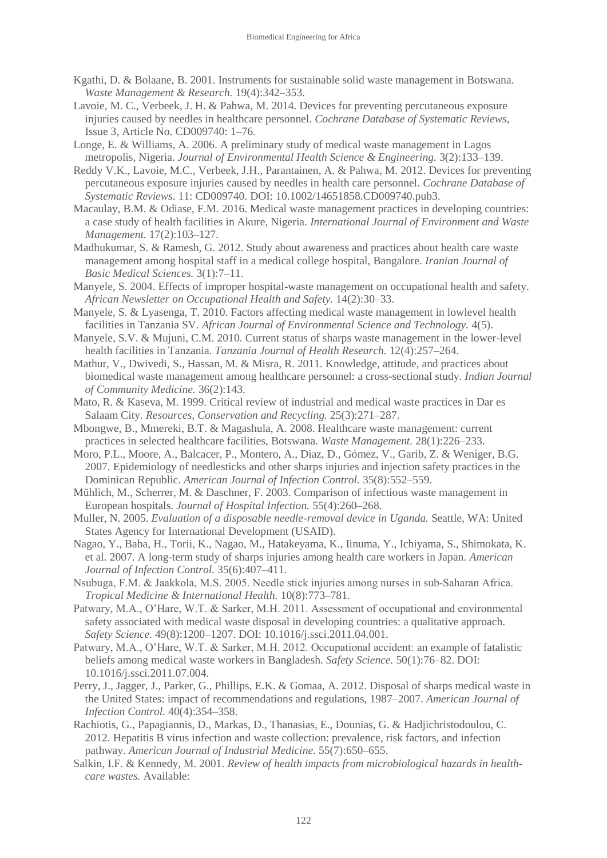- Kgathi, D. & Bolaane, B. 2001. Instruments for sustainable solid waste management in Botswana. *Waste Management & Research.* 19(4):342–353.
- Lavoie, M. C., Verbeek, J. H. & Pahwa, M. 2014. Devices for preventing percutaneous exposure injuries caused by needles in healthcare personnel. *Cochrane Database of Systematic Reviews*, Issue 3, Article No. CD009740: 1–76.
- Longe, E. & Williams, A. 2006. A preliminary study of medical waste management in Lagos metropolis, Nigeria. *Journal of Environmental Health Science & Engineering.* 3(2):133–139.
- Reddy V.K., Lavoie, M.C., Verbeek, J.H., Parantainen, A. & Pahwa, M. 2012. Devices for preventing percutaneous exposure injuries caused by needles in health care personnel. *Cochrane Database of Systematic Reviews*. 11: CD009740. DOI: 10.1002/14651858.CD009740.pub3.
- Macaulay, B.M. & Odiase, F.M. 2016. Medical waste management practices in developing countries: a case study of health facilities in Akure, Nigeria. *International Journal of Environment and Waste Management.* 17(2):103–127.
- Madhukumar, S. & Ramesh, G. 2012. Study about awareness and practices about health care waste management among hospital staff in a medical college hospital, Bangalore. *Iranian Journal of Basic Medical Sciences.* 3(1):7–11.
- Manyele, S. 2004. Effects of improper hospital-waste management on occupational health and safety. *African Newsletter on Occupational Health and Safety.* 14(2):30–33.
- Manyele, S. & Lyasenga, T. 2010. Factors affecting medical waste management in lowlevel health facilities in Tanzania SV. *African Journal of Environmental Science and Technology.* 4(5).
- Manyele, S.V. & Mujuni, C.M. 2010. Current status of sharps waste management in the lower-level health facilities in Tanzania. *Tanzania Journal of Health Research.* 12(4):257–264.
- Mathur, V., Dwivedi, S., Hassan, M. & Misra, R. 2011. Knowledge, attitude, and practices about biomedical waste management among healthcare personnel: a cross-sectional study. *Indian Journal of Community Medicine.* 36(2):143.
- Mato, R. & Kaseva, M. 1999. Critical review of industrial and medical waste practices in Dar es Salaam City. *Resources, Conservation and Recycling.* 25(3):271–287.
- Mbongwe, B., Mmereki, B.T. & Magashula, A. 2008. Healthcare waste management: current practices in selected healthcare facilities, Botswana. *Waste Management.* 28(1):226–233.
- Moro, P.L., Moore, A., Balcacer, P., Montero, A., Diaz, D., Gómez, V., Garib, Z. & Weniger, B.G. 2007. Epidemiology of needlesticks and other sharps injuries and injection safety practices in the Dominican Republic. *American Journal of Infection Control.* 35(8):552–559.
- Mühlich, M., Scherrer, M. & Daschner, F. 2003. Comparison of infectious waste management in European hospitals. *Journal of Hospital Infection.* 55(4):260–268.
- Muller, N. 2005. *Evaluation of a disposable needle-removal device in Uganda.* Seattle, WA: United States Agency for International Development (USAID).
- Nagao, Y., Baba, H., Torii, K., Nagao, M., Hatakeyama, K., Iinuma, Y., Ichiyama, S., Shimokata, K. et al. 2007. A long-term study of sharps injuries among health care workers in Japan. *American Journal of Infection Control.* 35(6):407–411.
- Nsubuga, F.M. & Jaakkola, M.S. 2005. Needle stick injuries among nurses in sub‐Saharan Africa. *Tropical Medicine & International Health.* 10(8):773–781.
- Patwary, M.A., O'Hare, W.T. & Sarker, M.H. 2011. Assessment of occupational and environmental safety associated with medical waste disposal in developing countries: a qualitative approach. *Safety Science.* 49(8):1200–1207. DOI: 10.1016/j.ssci.2011.04.001.
- Patwary, M.A., O'Hare, W.T. & Sarker, M.H. 2012. Occupational accident: an example of fatalistic beliefs among medical waste workers in Bangladesh. *Safety Science.* 50(1):76–82. DOI: 10.1016/j.ssci.2011.07.004.
- Perry, J., Jagger, J., Parker, G., Phillips, E.K. & Gomaa, A. 2012. Disposal of sharps medical waste in the United States: impact of recommendations and regulations, 1987–2007. *American Journal of Infection Control.* 40(4):354–358.
- Rachiotis, G., Papagiannis, D., Markas, D., Thanasias, E., Dounias, G. & Hadjichristodoulou, C. 2012. Hepatitis B virus infection and waste collection: prevalence, risk factors, and infection pathway. *American Journal of Industrial Medicine.* 55(7):650–655.
- Salkin, I.F. & Kennedy, M. 2001. *Review of health impacts from microbiological hazards in healthcare wastes.* Available: